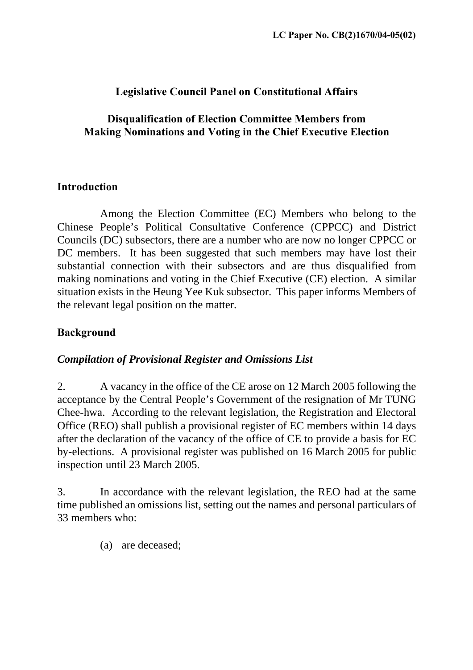## **Legislative Council Panel on Constitutional Affairs**

### **Disqualification of Election Committee Members from Making Nominations and Voting in the Chief Executive Election**

### **Introduction**

Among the Election Committee (EC) Members who belong to the Chinese People's Political Consultative Conference (CPPCC) and District Councils (DC) subsectors, there are a number who are now no longer CPPCC or DC members. It has been suggested that such members may have lost their substantial connection with their subsectors and are thus disqualified from making nominations and voting in the Chief Executive (CE) election. A similar situation exists in the Heung Yee Kuk subsector. This paper informs Members of the relevant legal position on the matter.

# **Background**

## *Compilation of Provisional Register and Omissions List*

2. A vacancy in the office of the CE arose on 12 March 2005 following the acceptance by the Central People's Government of the resignation of Mr TUNG Chee-hwa. According to the relevant legislation, the Registration and Electoral Office (REO) shall publish a provisional register of EC members within 14 days after the declaration of the vacancy of the office of CE to provide a basis for EC by-elections. A provisional register was published on 16 March 2005 for public inspection until 23 March 2005.

3. In accordance with the relevant legislation, the REO had at the same time published an omissions list, setting out the names and personal particulars of 33 members who:

(a) are deceased;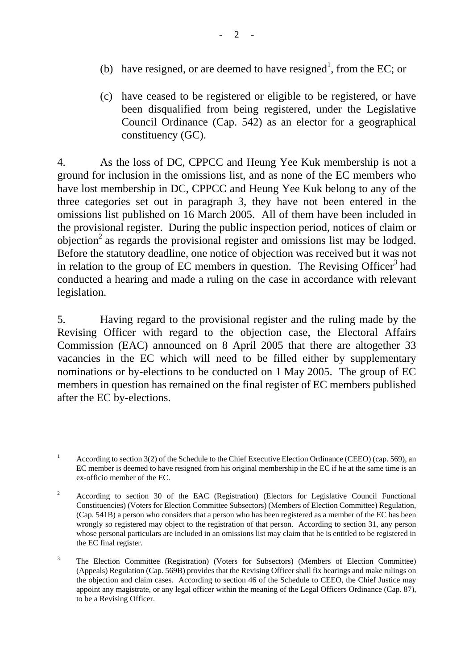- (b) have resigned, or are deemed to have resigned<sup>[1](#page-1-0)</sup>, from the EC; or
- (c) have ceased to be registered or eligible to be registered, or have been disqualified from being registered, under the Legislative Council Ordinance (Cap. 542) as an elector for a geographical constituency (GC).

4. As the loss of DC, CPPCC and Heung Yee Kuk membership is not a ground for inclusion in the omissions list, and as none of the EC members who have lost membership in DC, CPPCC and Heung Yee Kuk belong to any of the three categories set out in paragraph 3, they have not been entered in the omissions list published on 16 March 2005. All of them have been included in the provisional register. During the public inspection period, notices of claim or objection[2](#page-1-1) as regards the provisional register and omissions list may be lodged. Before the statutory deadline, one notice of objection was received but it was not in relation to the group of EC members in question. The Revising Officer<sup>[3](#page-1-2)</sup> had conducted a hearing and made a ruling on the case in accordance with relevant legislation.

5. Having regard to the provisional register and the ruling made by the Revising Officer with regard to the objection case, the Electoral Affairs Commission (EAC) announced on 8 April 2005 that there are altogether 33 vacancies in the EC which will need to be filled either by supplementary nominations or by-elections to be conducted on 1 May 2005. The group of EC members in question has remained on the final register of EC members published after the EC by-elections.

<span id="page-1-0"></span><sup>&</sup>lt;sup>1</sup> According to section 3(2) of the Schedule to the Chief Executive Election Ordinance (CEEO) (cap. 569), an EC member is deemed to have resigned from his original membership in the EC if he at the same time is an ex-officio member of the EC.

<span id="page-1-1"></span><sup>&</sup>lt;sup>2</sup> According to section 30 of the EAC (Registration) (Electors for Legislative Council Functional Constituencies) (Voters for Election Committee Subsectors) (Members of Election Committee) Regulation, (Cap. 541B) a person who considers that a person who has been registered as a member of the EC has been wrongly so registered may object to the registration of that person. According to section 31, any person whose personal particulars are included in an omissions list may claim that he is entitled to be registered in the EC final register.

<span id="page-1-2"></span><sup>&</sup>lt;sup>3</sup> The Election Committee (Registration) (Voters for Subsectors) (Members of Election Committee) (Appeals) Regulation (Cap. 569B) provides that the Revising Officer shall fix hearings and make rulings on the objection and claim cases. According to section 46 of the Schedule to CEEO, the Chief Justice may appoint any magistrate, or any legal officer within the meaning of the Legal Officers Ordinance (Cap. 87), to be a Revising Officer.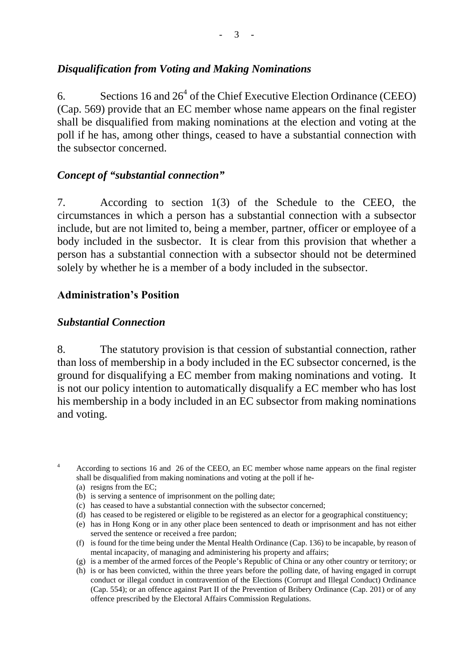### *Disqualification from Voting and Making Nominations*

6. Sections 16 and  $26<sup>4</sup>$  $26<sup>4</sup>$  $26<sup>4</sup>$  of the Chief Executive Election Ordinance (CEEO) (Cap. 569) provide that an EC member whose name appears on the final register shall be disqualified from making nominations at the election and voting at the poll if he has, among other things, ceased to have a substantial connection with the subsector concerned.

#### *Concept of "substantial connection"*

7. According to section 1(3) of the Schedule to the CEEO, the circumstances in which a person has a substantial connection with a subsector include, but are not limited to, being a member, partner, officer or employee of a body included in the susbector. It is clear from this provision that whether a person has a substantial connection with a subsector should not be determined solely by whether he is a member of a body included in the subsector.

#### **[Ad](#page-2-1)ministration's Position**

#### *Substantial Connection*

8. The statutory provision is that cession of substantial connection, rather than loss of membership in a body included in the EC subsector concerned, is the ground for disqualifying a EC member from making nominations and voting. It is not our policy intention to automatically disqualify a EC member who has lost his membership in a body included in an EC subsector from making nominations and voting.

<span id="page-2-0"></span><sup>4</sup> According to sections 16 and 26 of the CEEO, an EC member whose name appears on the final register shall be disqualified from making nominations and voting at the poll if he-

- (a) resigns from the EC;
- (b) is serving a sentence of imprisonment on the polling date;
- (c) has ceased to have a substantial connection with the subsector concerned;
- (d) has ceased to be registered or eligible to be registered as an elector for a geographical constituency;
- (e) has in Hong Kong or in any other place been sentenced to death or imprisonment and has not either served the sentence or received a free pardon;
- (f) is found for the time being under the Mental Health Ordinance (Cap. 136) to be incapable, by reason of mental incapacity, of managing and administering his property and affairs;
- (g) is a member of the armed forces of the People's Republic of China or any other country or territory; or
- <span id="page-2-1"></span>(h) is or has been convicted, within the three years before the polling date, of having engaged in corrupt conduct or illegal conduct in contravention of the Elections (Corrupt and Illegal Conduct) Ordinance (Cap. 554); or an offence against Part II of the Prevention of Bribery Ordinance (Cap. 201) or of any offence prescribed by the Electoral Affairs Commission Regulations.